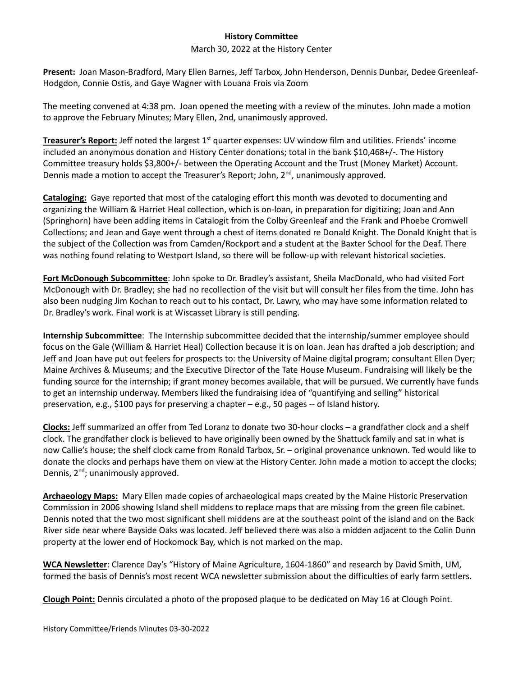## **History Committee**

## March 30, 2022 at the History Center

**Present:** Joan Mason-Bradford, Mary Ellen Barnes, Jeff Tarbox, John Henderson, Dennis Dunbar, Dedee Greenleaf-Hodgdon, Connie Ostis, and Gaye Wagner with Louana Frois via Zoom

The meeting convened at 4:38 pm. Joan opened the meeting with a review of the minutes. John made a motion to approve the February Minutes; Mary Ellen, 2nd, unanimously approved.

**Treasurer's Report:** Jeff noted the largest 1<sup>st</sup> quarter expenses: UV window film and utilities. Friends' income included an anonymous donation and History Center donations; total in the bank \$10,468+/-. The History Committee treasury holds \$3,800+/- between the Operating Account and the Trust (Money Market) Account. Dennis made a motion to accept the Treasurer's Report; John,  $2<sup>nd</sup>$ , unanimously approved.

**Cataloging:** Gaye reported that most of the cataloging effort this month was devoted to documenting and organizing the William & Harriet Heal collection, which is on-loan, in preparation for digitizing; Joan and Ann (Springhorn) have been adding items in Catalogit from the Colby Greenleaf and the Frank and Phoebe Cromwell Collections; and Jean and Gaye went through a chest of items donated re Donald Knight. The Donald Knight that is the subject of the Collection was from Camden/Rockport and a student at the Baxter School for the Deaf. There was nothing found relating to Westport Island, so there will be follow-up with relevant historical societies.

**Fort McDonough Subcommittee**: John spoke to Dr. Bradley's assistant, Sheila MacDonald, who had visited Fort McDonough with Dr. Bradley; she had no recollection of the visit but will consult her files from the time. John has also been nudging Jim Kochan to reach out to his contact, Dr. Lawry, who may have some information related to Dr. Bradley's work. Final work is at Wiscasset Library is still pending.

**Internship Subcommittee**: The Internship subcommittee decided that the internship/summer employee should focus on the Gale (William & Harriet Heal) Collection because it is on loan. Jean has drafted a job description; and Jeff and Joan have put out feelers for prospects to: the University of Maine digital program; consultant Ellen Dyer; Maine Archives & Museums; and the Executive Director of the Tate House Museum. Fundraising will likely be the funding source for the internship; if grant money becomes available, that will be pursued. We currently have funds to get an internship underway. Members liked the fundraising idea of "quantifying and selling" historical preservation, e.g., \$100 pays for preserving a chapter – e.g., 50 pages -- of Island history.

**Clocks:** Jeff summarized an offer from Ted Loranz to donate two 30-hour clocks – a grandfather clock and a shelf clock. The grandfather clock is believed to have originally been owned by the Shattuck family and sat in what is now Callie's house; the shelf clock came from Ronald Tarbox, Sr. – original provenance unknown. Ted would like to donate the clocks and perhaps have them on view at the History Center. John made a motion to accept the clocks; Dennis, 2<sup>nd</sup>; unanimously approved.

**Archaeology Maps:** Mary Ellen made copies of archaeological maps created by the Maine Historic Preservation Commission in 2006 showing Island shell middens to replace maps that are missing from the green file cabinet. Dennis noted that the two most significant shell middens are at the southeast point of the island and on the Back River side near where Bayside Oaks was located. Jeff believed there was also a midden adjacent to the Colin Dunn property at the lower end of Hockomock Bay, which is not marked on the map.

**WCA Newsletter**: Clarence Day's "History of Maine Agriculture, 1604-1860" and research by David Smith, UM, formed the basis of Dennis's most recent WCA newsletter submission about the difficulties of early farm settlers.

**Clough Point:** Dennis circulated a photo of the proposed plaque to be dedicated on May 16 at Clough Point.